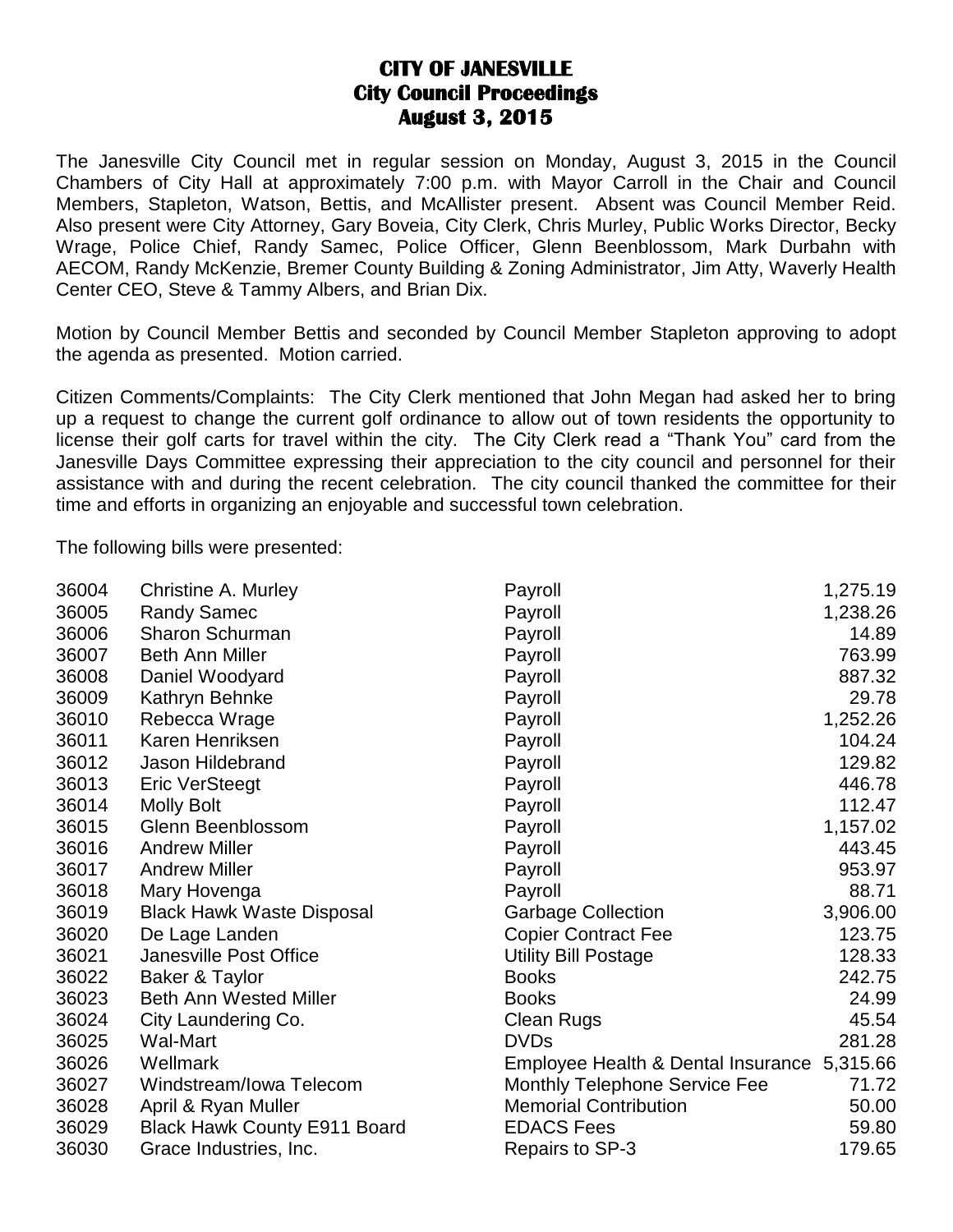## **CITY OF JANESVILLE City Council Proceedings August 3, 2015**

The Janesville City Council met in regular session on Monday, August 3, 2015 in the Council Chambers of City Hall at approximately 7:00 p.m. with Mayor Carroll in the Chair and Council Members, Stapleton, Watson, Bettis, and McAllister present. Absent was Council Member Reid. Also present were City Attorney, Gary Boveia, City Clerk, Chris Murley, Public Works Director, Becky Wrage, Police Chief, Randy Samec, Police Officer, Glenn Beenblossom, Mark Durbahn with AECOM, Randy McKenzie, Bremer County Building & Zoning Administrator, Jim Atty, Waverly Health Center CEO, Steve & Tammy Albers, and Brian Dix.

Motion by Council Member Bettis and seconded by Council Member Stapleton approving to adopt the agenda as presented. Motion carried.

Citizen Comments/Complaints: The City Clerk mentioned that John Megan had asked her to bring up a request to change the current golf ordinance to allow out of town residents the opportunity to license their golf carts for travel within the city. The City Clerk read a "Thank You" card from the Janesville Days Committee expressing their appreciation to the city council and personnel for their assistance with and during the recent celebration. The city council thanked the committee for their time and efforts in organizing an enjoyable and successful town celebration.

The following bills were presented:

| 36004 | Christine A. Murley                 | Payroll                              | 1,275.19 |
|-------|-------------------------------------|--------------------------------------|----------|
| 36005 | <b>Randy Samec</b>                  | Payroll                              | 1,238.26 |
| 36006 | Sharon Schurman                     | Payroll                              | 14.89    |
| 36007 | <b>Beth Ann Miller</b>              | Payroll                              | 763.99   |
| 36008 | Daniel Woodyard                     | Payroll                              | 887.32   |
| 36009 | Kathryn Behnke                      | Payroll                              | 29.78    |
| 36010 | Rebecca Wrage                       | Payroll                              | 1,252.26 |
| 36011 | Karen Henriksen                     | Payroll                              | 104.24   |
| 36012 | Jason Hildebrand                    | Payroll                              | 129.82   |
| 36013 | <b>Eric VerSteegt</b>               | Payroll                              | 446.78   |
| 36014 | <b>Molly Bolt</b>                   | Payroll                              | 112.47   |
| 36015 | Glenn Beenblossom                   | Payroll                              | 1,157.02 |
| 36016 | <b>Andrew Miller</b>                | Payroll                              | 443.45   |
| 36017 | <b>Andrew Miller</b>                | Payroll                              | 953.97   |
| 36018 | Mary Hovenga                        | Payroll                              | 88.71    |
| 36019 | <b>Black Hawk Waste Disposal</b>    | <b>Garbage Collection</b>            | 3,906.00 |
| 36020 | De Lage Landen                      | <b>Copier Contract Fee</b>           | 123.75   |
| 36021 | Janesville Post Office              | <b>Utility Bill Postage</b>          | 128.33   |
| 36022 | Baker & Taylor                      | <b>Books</b>                         | 242.75   |
| 36023 | <b>Beth Ann Wested Miller</b>       | <b>Books</b>                         | 24.99    |
| 36024 | City Laundering Co.                 | <b>Clean Rugs</b>                    | 45.54    |
| 36025 | Wal-Mart                            | <b>DVDs</b>                          | 281.28   |
| 36026 | Wellmark                            | Employee Health & Dental Insurance   | 5,315.66 |
| 36027 | Windstream/Iowa Telecom             | <b>Monthly Telephone Service Fee</b> | 71.72    |
| 36028 | April & Ryan Muller                 | <b>Memorial Contribution</b>         | 50.00    |
| 36029 | <b>Black Hawk County E911 Board</b> | <b>EDACS Fees</b>                    | 59.80    |
| 36030 | Grace Industries, Inc.              | Repairs to SP-3                      | 179.65   |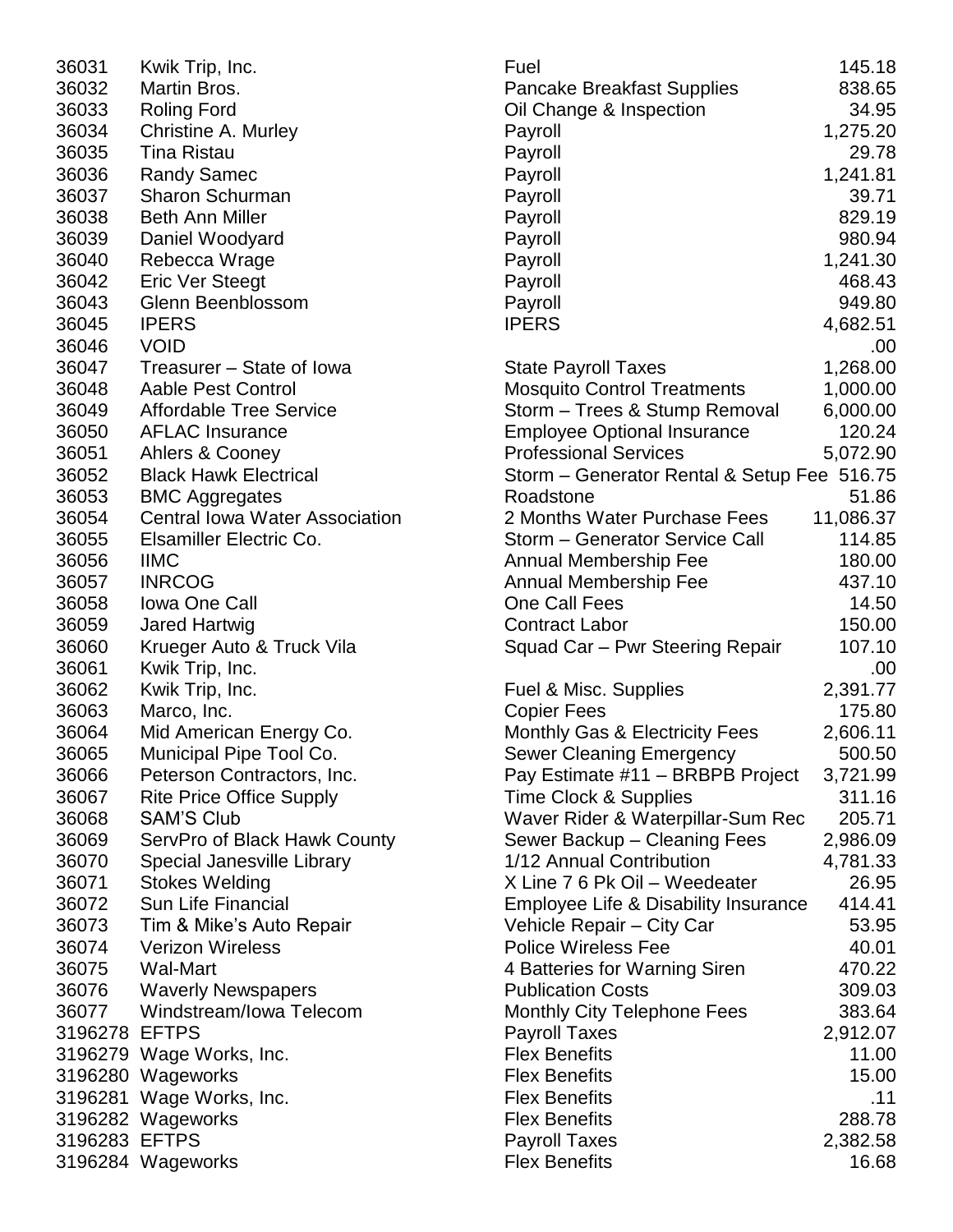| 36031         | Kwik Trip, Inc.                                                | Fuel                                                     | 145.18              |
|---------------|----------------------------------------------------------------|----------------------------------------------------------|---------------------|
| 36032         | Martin Bros.                                                   | <b>Pancake Breakfast Supplies</b>                        | 838.65              |
| 36033         | <b>Roling Ford</b>                                             | Oil Change & Inspection                                  | 34.95               |
| 36034         | Christine A. Murley                                            | Payroll                                                  | 1,275.20            |
| 36035         | <b>Tina Ristau</b>                                             | Payroll                                                  | 29.78               |
| 36036         | <b>Randy Samec</b>                                             | Payroll                                                  | 1,241.81            |
| 36037         | <b>Sharon Schurman</b>                                         | Payroll                                                  | 39.71               |
| 36038         | <b>Beth Ann Miller</b>                                         | Payroll                                                  | 829.19              |
| 36039         | Daniel Woodyard                                                | Payroll                                                  | 980.94              |
| 36040         | Rebecca Wrage                                                  | Payroll                                                  | 1,241.30            |
| 36042         | <b>Eric Ver Steegt</b>                                         | Payroll                                                  | 468.43              |
| 36043         | Glenn Beenblossom                                              | Payroll                                                  | 949.80              |
| 36045         | <b>IPERS</b>                                                   | <b>IPERS</b>                                             | 4,682.51            |
| 36046         | <b>VOID</b>                                                    |                                                          | .00                 |
| 36047         | Treasurer - State of Iowa                                      | <b>State Payroll Taxes</b>                               | 1,268.00            |
| 36048         | Aable Pest Control                                             | <b>Mosquito Control Treatments</b>                       | 1,000.00            |
| 36049         | <b>Affordable Tree Service</b>                                 | Storm - Trees & Stump Removal                            | 6,000.00            |
| 36050         | <b>AFLAC Insurance</b>                                         | <b>Employee Optional Insurance</b>                       | 120.24              |
| 36051         | Ahlers & Cooney                                                | <b>Professional Services</b>                             | 5,072.90            |
| 36052         | <b>Black Hawk Electrical</b>                                   |                                                          |                     |
| 36053         |                                                                | Storm – Generator Rental & Setup Fee 516.75<br>Roadstone | 51.86               |
|               | <b>BMC Aggregates</b><br><b>Central Iowa Water Association</b> | 2 Months Water Purchase Fees                             |                     |
| 36054         |                                                                |                                                          | 11,086.37<br>114.85 |
| 36055         | Elsamiller Electric Co.                                        | Storm - Generator Service Call                           |                     |
| 36056         | <b>IIMC</b>                                                    | <b>Annual Membership Fee</b>                             | 180.00              |
| 36057         | <b>INRCOG</b>                                                  | Annual Membership Fee                                    | 437.10              |
| 36058         | <b>Iowa One Call</b>                                           | One Call Fees                                            | 14.50               |
| 36059         | Jared Hartwig                                                  | <b>Contract Labor</b>                                    | 150.00              |
| 36060         | Krueger Auto & Truck Vila                                      | Squad Car - Pwr Steering Repair                          | 107.10              |
| 36061         | Kwik Trip, Inc.                                                |                                                          | .00                 |
| 36062         | Kwik Trip, Inc.                                                | Fuel & Misc. Supplies                                    | 2,391.77            |
| 36063         | Marco, Inc.                                                    | <b>Copier Fees</b>                                       | 175.80              |
| 36064         | Mid American Energy Co.                                        | <b>Monthly Gas &amp; Electricity Fees</b>                | 2,606.11            |
| 36065         | Municipal Pipe Tool Co.                                        | <b>Sewer Cleaning Emergency</b>                          | 500.50              |
| 36066         | Peterson Contractors, Inc.                                     | Pay Estimate #11 - BRBPB Project                         | 3,721.99            |
| 36067         | <b>Rite Price Office Supply</b>                                | Time Clock & Supplies                                    | 311.16              |
| 36068         | <b>SAM'S Club</b>                                              | Waver Rider & Waterpillar-Sum Rec                        | 205.71              |
| 36069         | ServPro of Black Hawk County                                   | Sewer Backup - Cleaning Fees                             | 2,986.09            |
| 36070         | Special Janesville Library                                     | 1/12 Annual Contribution                                 | 4,781.33            |
| 36071         | <b>Stokes Welding</b>                                          | X Line 7 6 Pk Oil - Weedeater                            | 26.95               |
| 36072         | Sun Life Financial                                             | Employee Life & Disability Insurance                     | 414.41              |
| 36073         | Tim & Mike's Auto Repair                                       | Vehicle Repair - City Car                                | 53.95               |
| 36074         | <b>Verizon Wireless</b>                                        | <b>Police Wireless Fee</b>                               | 40.01               |
| 36075         | <b>Wal-Mart</b>                                                | 4 Batteries for Warning Siren                            | 470.22              |
| 36076         | <b>Waverly Newspapers</b>                                      | <b>Publication Costs</b>                                 | 309.03              |
| 36077         | Windstream/Iowa Telecom                                        | Monthly City Telephone Fees                              | 383.64              |
| 3196278 EFTPS |                                                                | <b>Payroll Taxes</b>                                     | 2,912.07            |
|               | 3196279 Wage Works, Inc.                                       | <b>Flex Benefits</b>                                     | 11.00               |
|               | 3196280 Wageworks                                              | <b>Flex Benefits</b>                                     | 15.00               |
|               | 3196281 Wage Works, Inc.                                       | <b>Flex Benefits</b>                                     | .11                 |
|               | 3196282 Wageworks                                              | <b>Flex Benefits</b>                                     | 288.78              |
| 3196283 EFTPS |                                                                | <b>Payroll Taxes</b>                                     | 2,382.58            |
|               | 3196284 Wageworks                                              | <b>Flex Benefits</b>                                     | 16.68               |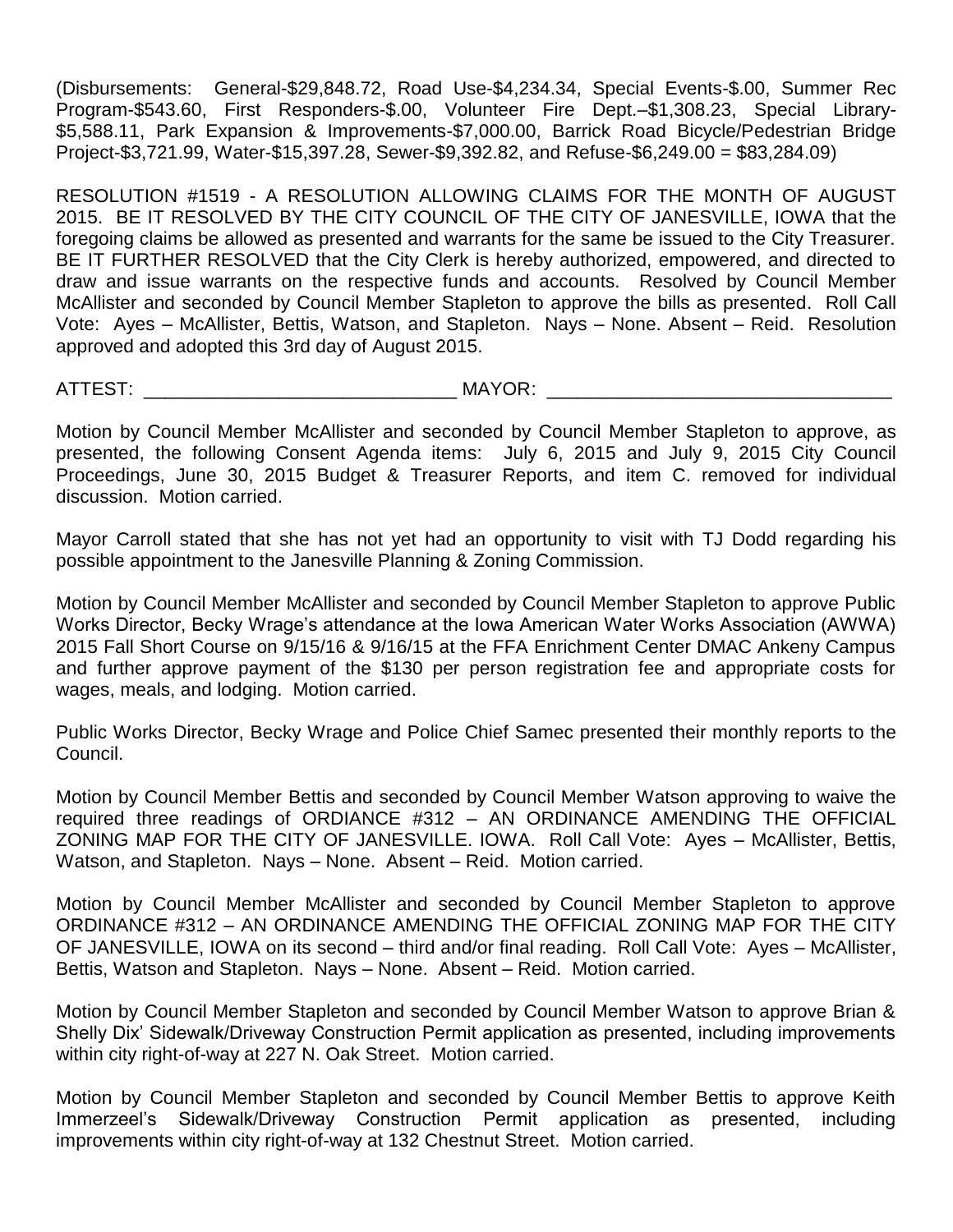(Disbursements: General-\$29,848.72, Road Use-\$4,234.34, Special Events-\$.00, Summer Rec Program-\$543.60, First Responders-\$.00, Volunteer Fire Dept.–\$1,308.23, Special Library- \$5,588.11, Park Expansion & Improvements-\$7,000.00, Barrick Road Bicycle/Pedestrian Bridge Project-\$3,721.99, Water-\$15,397.28, Sewer-\$9,392.82, and Refuse-\$6,249.00 = \$83,284.09)

RESOLUTION #1519 - A RESOLUTION ALLOWING CLAIMS FOR THE MONTH OF AUGUST 2015. BE IT RESOLVED BY THE CITY COUNCIL OF THE CITY OF JANESVILLE, IOWA that the foregoing claims be allowed as presented and warrants for the same be issued to the City Treasurer. BE IT FURTHER RESOLVED that the City Clerk is hereby authorized, empowered, and directed to draw and issue warrants on the respective funds and accounts. Resolved by Council Member McAllister and seconded by Council Member Stapleton to approve the bills as presented. Roll Call Vote: Ayes – McAllister, Bettis, Watson, and Stapleton. Nays – None. Absent – Reid. Resolution approved and adopted this 3rd day of August 2015.

ATTEST: \_\_\_\_\_\_\_\_\_\_\_\_\_\_\_\_\_\_\_\_\_\_\_\_\_\_\_\_\_\_ MAYOR: \_\_\_\_\_\_\_\_\_\_\_\_\_\_\_\_\_\_\_\_\_\_\_\_\_\_\_\_\_\_\_\_\_

Motion by Council Member McAllister and seconded by Council Member Stapleton to approve, as presented, the following Consent Agenda items: July 6, 2015 and July 9, 2015 City Council Proceedings, June 30, 2015 Budget & Treasurer Reports, and item C. removed for individual discussion. Motion carried.

Mayor Carroll stated that she has not yet had an opportunity to visit with TJ Dodd regarding his possible appointment to the Janesville Planning & Zoning Commission.

Motion by Council Member McAllister and seconded by Council Member Stapleton to approve Public Works Director, Becky Wrage's attendance at the Iowa American Water Works Association (AWWA) 2015 Fall Short Course on 9/15/16 & 9/16/15 at the FFA Enrichment Center DMAC Ankeny Campus and further approve payment of the \$130 per person registration fee and appropriate costs for wages, meals, and lodging. Motion carried.

Public Works Director, Becky Wrage and Police Chief Samec presented their monthly reports to the Council.

Motion by Council Member Bettis and seconded by Council Member Watson approving to waive the required three readings of ORDIANCE #312 – AN ORDINANCE AMENDING THE OFFICIAL ZONING MAP FOR THE CITY OF JANESVILLE. IOWA. Roll Call Vote: Ayes – McAllister, Bettis, Watson, and Stapleton. Nays – None. Absent – Reid. Motion carried.

Motion by Council Member McAllister and seconded by Council Member Stapleton to approve ORDINANCE #312 – AN ORDINANCE AMENDING THE OFFICIAL ZONING MAP FOR THE CITY OF JANESVILLE, IOWA on its second – third and/or final reading. Roll Call Vote: Ayes – McAllister, Bettis, Watson and Stapleton. Nays – None. Absent – Reid. Motion carried.

Motion by Council Member Stapleton and seconded by Council Member Watson to approve Brian & Shelly Dix' Sidewalk/Driveway Construction Permit application as presented, including improvements within city right-of-way at 227 N. Oak Street. Motion carried.

Motion by Council Member Stapleton and seconded by Council Member Bettis to approve Keith Immerzeel's Sidewalk/Driveway Construction Permit application as presented, including improvements within city right-of-way at 132 Chestnut Street. Motion carried.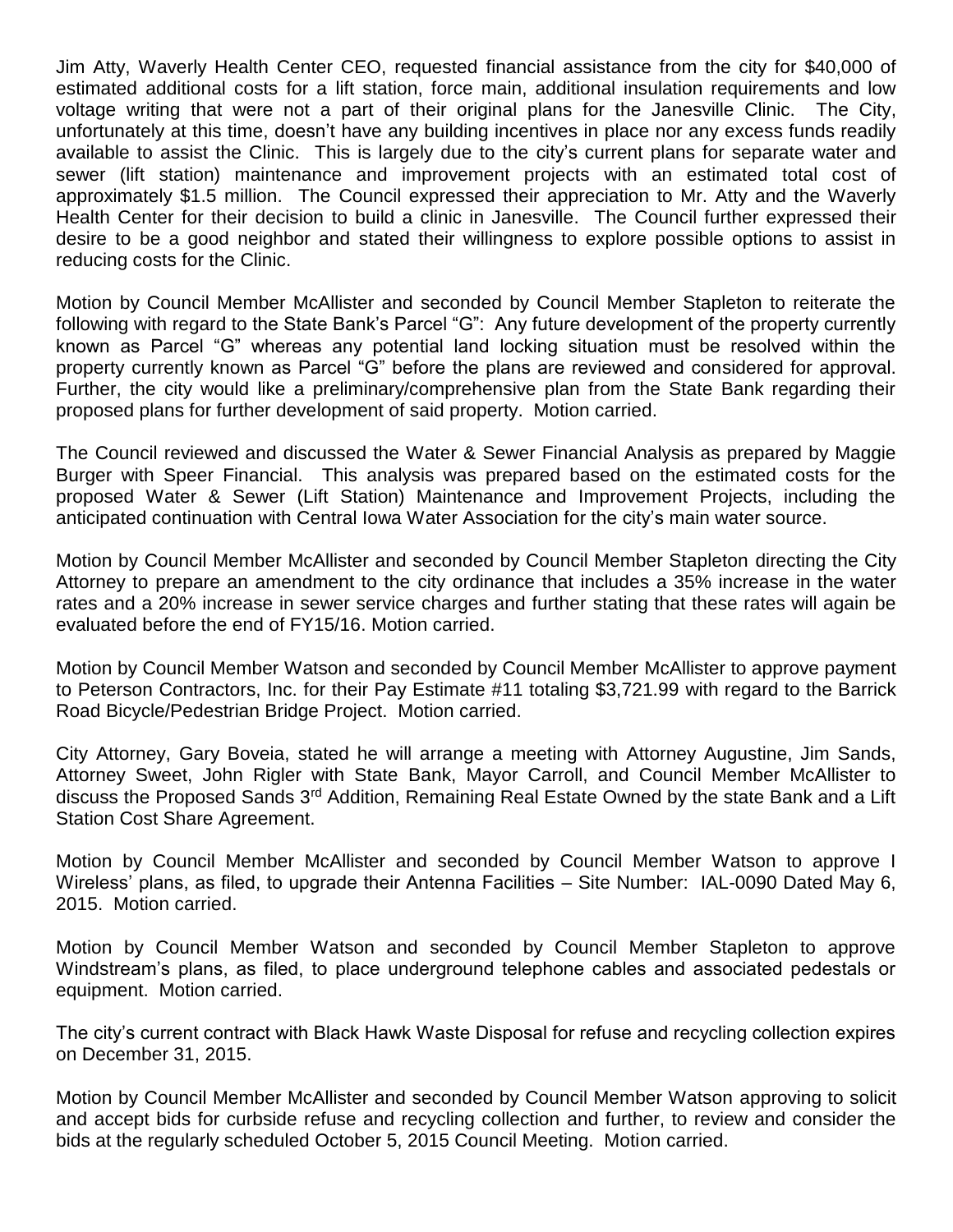Jim Atty, Waverly Health Center CEO, requested financial assistance from the city for \$40,000 of estimated additional costs for a lift station, force main, additional insulation requirements and low voltage writing that were not a part of their original plans for the Janesville Clinic. The City, unfortunately at this time, doesn't have any building incentives in place nor any excess funds readily available to assist the Clinic. This is largely due to the city's current plans for separate water and sewer (lift station) maintenance and improvement projects with an estimated total cost of approximately \$1.5 million. The Council expressed their appreciation to Mr. Atty and the Waverly Health Center for their decision to build a clinic in Janesville. The Council further expressed their desire to be a good neighbor and stated their willingness to explore possible options to assist in reducing costs for the Clinic.

Motion by Council Member McAllister and seconded by Council Member Stapleton to reiterate the following with regard to the State Bank's Parcel "G": Any future development of the property currently known as Parcel "G" whereas any potential land locking situation must be resolved within the property currently known as Parcel "G" before the plans are reviewed and considered for approval. Further, the city would like a preliminary/comprehensive plan from the State Bank regarding their proposed plans for further development of said property. Motion carried.

The Council reviewed and discussed the Water & Sewer Financial Analysis as prepared by Maggie Burger with Speer Financial. This analysis was prepared based on the estimated costs for the proposed Water & Sewer (Lift Station) Maintenance and Improvement Projects, including the anticipated continuation with Central Iowa Water Association for the city's main water source.

Motion by Council Member McAllister and seconded by Council Member Stapleton directing the City Attorney to prepare an amendment to the city ordinance that includes a 35% increase in the water rates and a 20% increase in sewer service charges and further stating that these rates will again be evaluated before the end of FY15/16. Motion carried.

Motion by Council Member Watson and seconded by Council Member McAllister to approve payment to Peterson Contractors, Inc. for their Pay Estimate #11 totaling \$3,721.99 with regard to the Barrick Road Bicycle/Pedestrian Bridge Project. Motion carried.

City Attorney, Gary Boveia, stated he will arrange a meeting with Attorney Augustine, Jim Sands, Attorney Sweet, John Rigler with State Bank, Mayor Carroll, and Council Member McAllister to discuss the Proposed Sands 3<sup>rd</sup> Addition, Remaining Real Estate Owned by the state Bank and a Lift Station Cost Share Agreement.

Motion by Council Member McAllister and seconded by Council Member Watson to approve I Wireless' plans, as filed, to upgrade their Antenna Facilities – Site Number: IAL-0090 Dated May 6, 2015. Motion carried.

Motion by Council Member Watson and seconded by Council Member Stapleton to approve Windstream's plans, as filed, to place underground telephone cables and associated pedestals or equipment. Motion carried.

The city's current contract with Black Hawk Waste Disposal for refuse and recycling collection expires on December 31, 2015.

Motion by Council Member McAllister and seconded by Council Member Watson approving to solicit and accept bids for curbside refuse and recycling collection and further, to review and consider the bids at the regularly scheduled October 5, 2015 Council Meeting. Motion carried.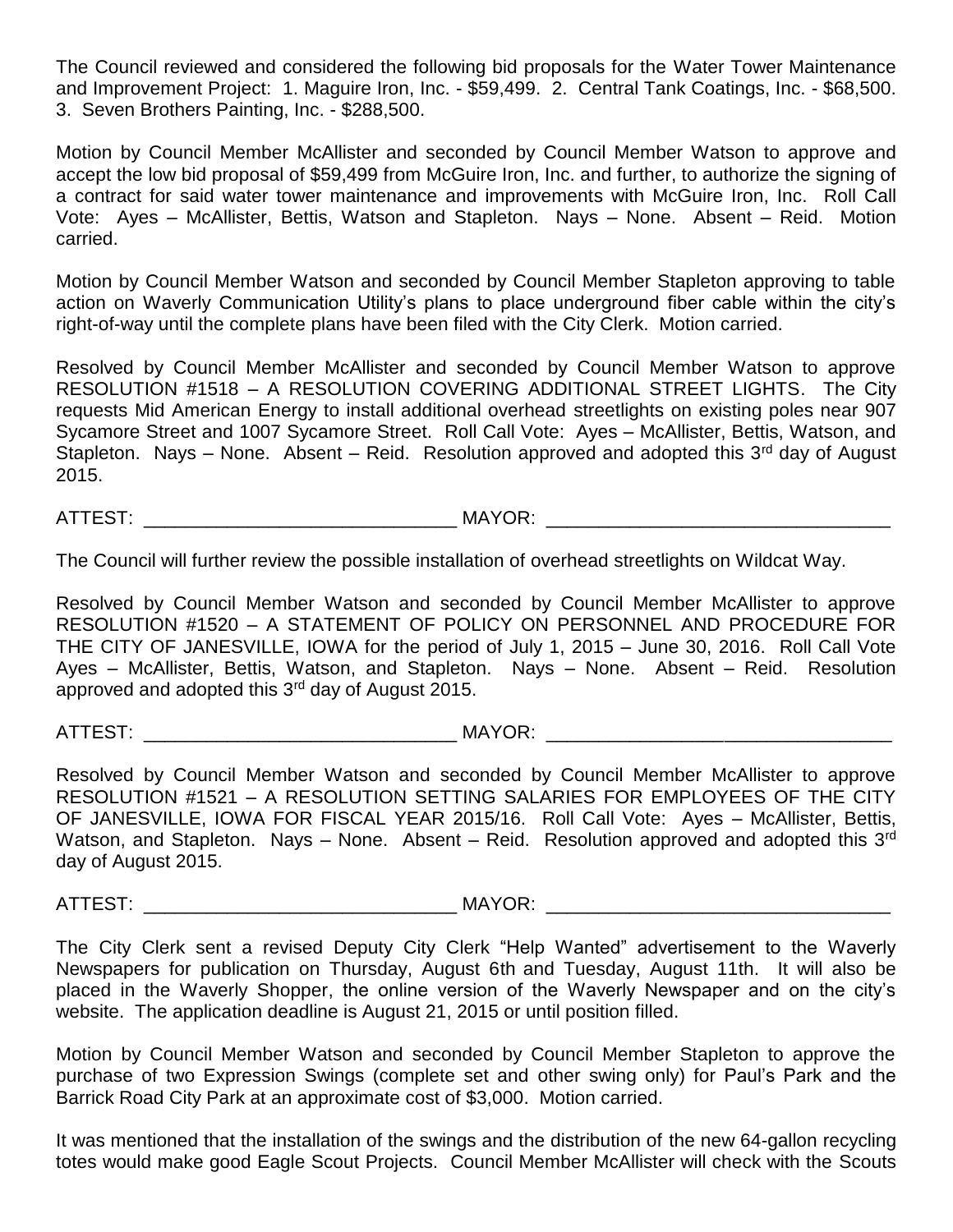The Council reviewed and considered the following bid proposals for the Water Tower Maintenance and Improvement Project: 1. Maguire Iron, Inc. - \$59,499. 2. Central Tank Coatings, Inc. - \$68,500. 3. Seven Brothers Painting, Inc. - \$288,500.

Motion by Council Member McAllister and seconded by Council Member Watson to approve and accept the low bid proposal of \$59,499 from McGuire Iron, Inc. and further, to authorize the signing of a contract for said water tower maintenance and improvements with McGuire Iron, Inc. Roll Call Vote: Ayes – McAllister, Bettis, Watson and Stapleton. Nays – None. Absent – Reid. Motion carried.

Motion by Council Member Watson and seconded by Council Member Stapleton approving to table action on Waverly Communication Utility's plans to place underground fiber cable within the city's right-of-way until the complete plans have been filed with the City Clerk. Motion carried.

Resolved by Council Member McAllister and seconded by Council Member Watson to approve RESOLUTION #1518 – A RESOLUTION COVERING ADDITIONAL STREET LIGHTS. The City requests Mid American Energy to install additional overhead streetlights on existing poles near 907 Sycamore Street and 1007 Sycamore Street. Roll Call Vote: Ayes – McAllister, Bettis, Watson, and Stapleton. Nays – None. Absent – Reid. Resolution approved and adopted this  $3<sup>rd</sup>$  day of August 2015.

ATTEST: THE MAYOR: THE MAYOR:

The Council will further review the possible installation of overhead streetlights on Wildcat Way.

Resolved by Council Member Watson and seconded by Council Member McAllister to approve RESOLUTION #1520 – A STATEMENT OF POLICY ON PERSONNEL AND PROCEDURE FOR THE CITY OF JANESVILLE, IOWA for the period of July 1, 2015 – June 30, 2016. Roll Call Vote Ayes – McAllister, Bettis, Watson, and Stapleton. Nays – None. Absent – Reid. Resolution approved and adopted this 3<sup>rd</sup> day of August 2015.

ATTEST: \_\_\_\_\_\_\_\_\_\_\_\_\_\_\_\_\_\_\_\_\_\_\_\_\_\_\_\_\_\_ MAYOR: \_\_\_\_\_\_\_\_\_\_\_\_\_\_\_\_\_\_\_\_\_\_\_\_\_\_\_\_\_\_\_\_\_

Resolved by Council Member Watson and seconded by Council Member McAllister to approve RESOLUTION #1521 – A RESOLUTION SETTING SALARIES FOR EMPLOYEES OF THE CITY OF JANESVILLE, IOWA FOR FISCAL YEAR 2015/16. Roll Call Vote: Ayes – McAllister, Bettis, Watson, and Stapleton. Nays – None. Absent – Reid. Resolution approved and adopted this  $3<sup>rd</sup>$ day of August 2015.

ATTEST: \_\_\_\_\_\_\_\_\_\_\_\_\_\_\_\_\_\_\_\_\_\_\_\_\_\_\_\_\_\_ MAYOR: \_\_\_\_\_\_\_\_\_\_\_\_\_\_\_\_\_\_\_\_\_\_\_\_\_\_\_\_\_\_\_\_\_

The City Clerk sent a revised Deputy City Clerk "Help Wanted" advertisement to the Waverly Newspapers for publication on Thursday, August 6th and Tuesday, August 11th. It will also be placed in the Waverly Shopper, the online version of the Waverly Newspaper and on the city's website. The application deadline is August 21, 2015 or until position filled.

Motion by Council Member Watson and seconded by Council Member Stapleton to approve the purchase of two Expression Swings (complete set and other swing only) for Paul's Park and the Barrick Road City Park at an approximate cost of \$3,000. Motion carried.

It was mentioned that the installation of the swings and the distribution of the new 64-gallon recycling totes would make good Eagle Scout Projects. Council Member McAllister will check with the Scouts